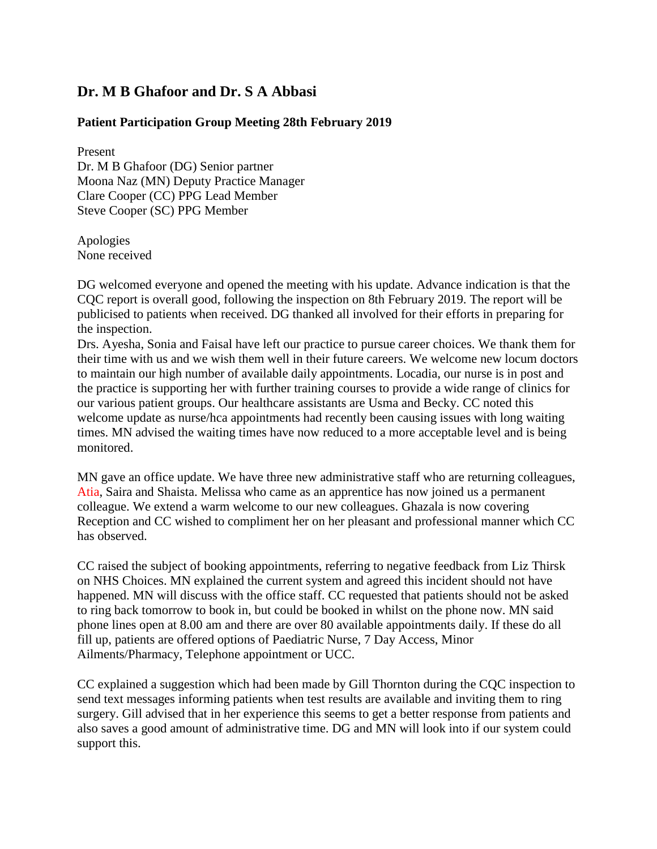## **Dr. M B Ghafoor and Dr. S A Abbasi**

## **Patient Participation Group Meeting 28th February 2019**

Present Dr. M B Ghafoor (DG) Senior partner Moona Naz (MN) Deputy Practice Manager Clare Cooper (CC) PPG Lead Member Steve Cooper (SC) PPG Member

Apologies None received

DG welcomed everyone and opened the meeting with his update. Advance indication is that the CQC report is overall good, following the inspection on 8th February 2019. The report will be publicised to patients when received. DG thanked all involved for their efforts in preparing for the inspection.

Drs. Ayesha, Sonia and Faisal have left our practice to pursue career choices. We thank them for their time with us and we wish them well in their future careers. We welcome new locum doctors to maintain our high number of available daily appointments. Locadia, our nurse is in post and the practice is supporting her with further training courses to provide a wide range of clinics for our various patient groups. Our healthcare assistants are Usma and Becky. CC noted this welcome update as nurse/hca appointments had recently been causing issues with long waiting times. MN advised the waiting times have now reduced to a more acceptable level and is being monitored.

MN gave an office update. We have three new administrative staff who are returning colleagues, Atia, Saira and Shaista. Melissa who came as an apprentice has now joined us a permanent colleague. We extend a warm welcome to our new colleagues. Ghazala is now covering Reception and CC wished to compliment her on her pleasant and professional manner which CC has observed.

CC raised the subject of booking appointments, referring to negative feedback from Liz Thirsk on NHS Choices. MN explained the current system and agreed this incident should not have happened. MN will discuss with the office staff. CC requested that patients should not be asked to ring back tomorrow to book in, but could be booked in whilst on the phone now. MN said phone lines open at 8.00 am and there are over 80 available appointments daily. If these do all fill up, patients are offered options of Paediatric Nurse, 7 Day Access, Minor Ailments/Pharmacy, Telephone appointment or UCC.

CC explained a suggestion which had been made by Gill Thornton during the CQC inspection to send text messages informing patients when test results are available and inviting them to ring surgery. Gill advised that in her experience this seems to get a better response from patients and also saves a good amount of administrative time. DG and MN will look into if our system could support this.